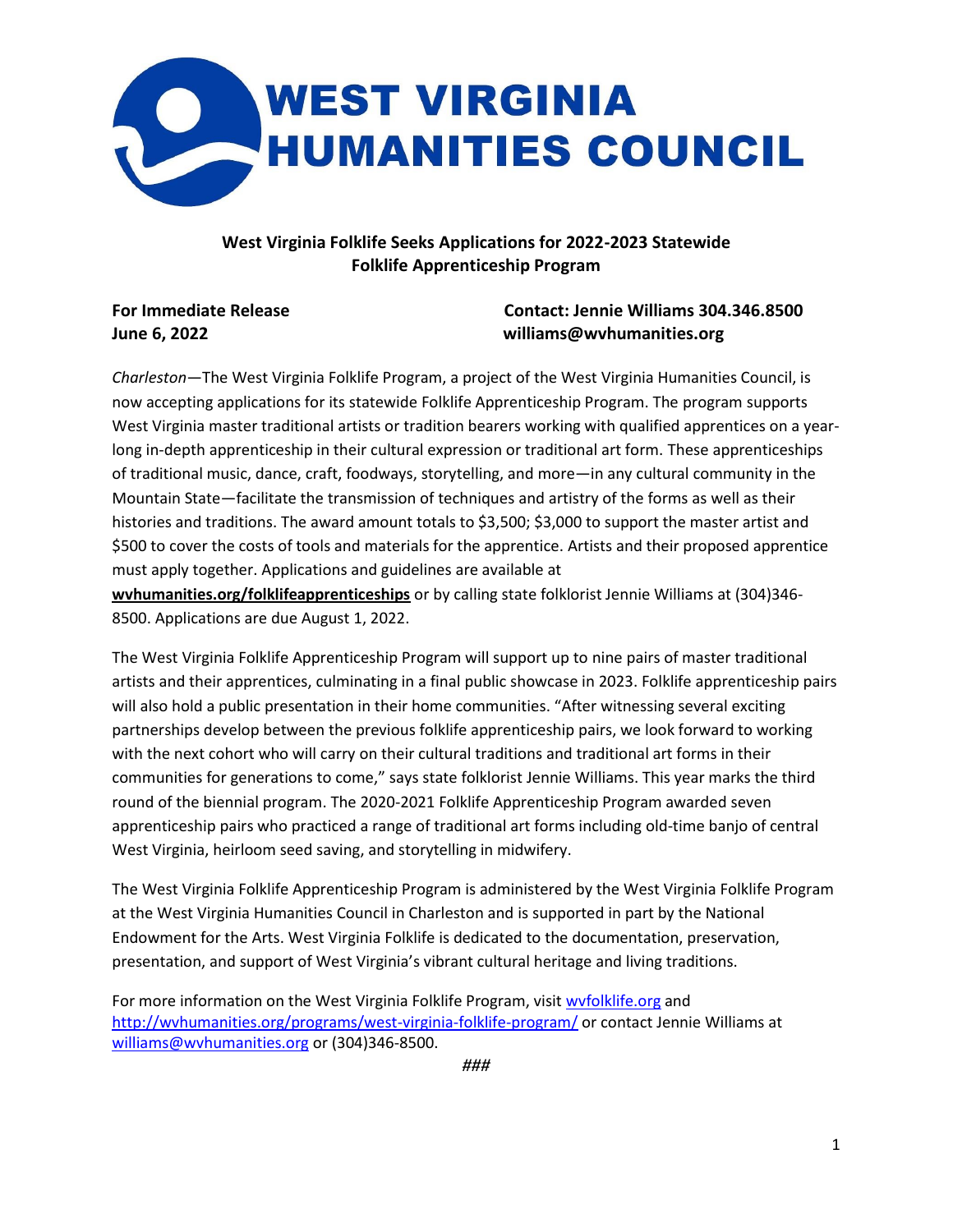

## **West Virginia Folklife Seeks Applications for 2022-2023 Statewide Folklife Apprenticeship Program**

## **For Immediate Release Contact: Jennie Williams 304.346.8500 June 6, 2022 williams@wvhumanities.org**

*Charleston*—The West Virginia Folklife Program, a project of the West Virginia Humanities Council, is now accepting applications for its statewide Folklife Apprenticeship Program. The program supports West Virginia master traditional artists or tradition bearers working with qualified apprentices on a yearlong in-depth apprenticeship in their cultural expression or traditional art form. These apprenticeships of traditional music, dance, craft, foodways, storytelling, and more—in any cultural community in the Mountain State—facilitate the transmission of techniques and artistry of the forms as well as their histories and traditions. The award amount totals to \$3,500; \$3,000 to support the master artist and \$500 to cover the costs of tools and materials for the apprentice. Artists and their proposed apprentice must apply together. Applications and guidelines are available at **wvhumanities.org/folklifeapprenticeships** or by calling state folklorist Jennie Williams at (304)346- 8500. Applications are due August 1, 2022.

The West Virginia Folklife Apprenticeship Program will support up to nine pairs of master traditional artists and their apprentices, culminating in a final public showcase in 2023. Folklife apprenticeship pairs will also hold a public presentation in their home communities. "After witnessing several exciting partnerships develop between the previous folklife apprenticeship pairs, we look forward to working with the next cohort who will carry on their cultural traditions and traditional art forms in their communities for generations to come," says state folklorist Jennie Williams. This year marks the third round of the biennial program. The 2020-2021 Folklife Apprenticeship Program awarded seven apprenticeship pairs who practiced a range of traditional art forms including old-time banjo of central West Virginia, heirloom seed saving, and storytelling in midwifery.

The West Virginia Folklife Apprenticeship Program is administered by the West Virginia Folklife Program at the West Virginia Humanities Council in Charleston and is supported in part by the National Endowment for the Arts. West Virginia Folklife is dedicated to the documentation, preservation, presentation, and support of West Virginia's vibrant cultural heritage and living traditions.

For more information on the West Virginia Folklife Program, visi[t wvfolklife.org](https://wvfolklife.org/) and <http://wvhumanities.org/programs/west-virginia-folklife-program/> or contact Jennie Williams at [williams@wvhumanities.org](mailto:williams@wvhumanities.org) or (304)346-8500.